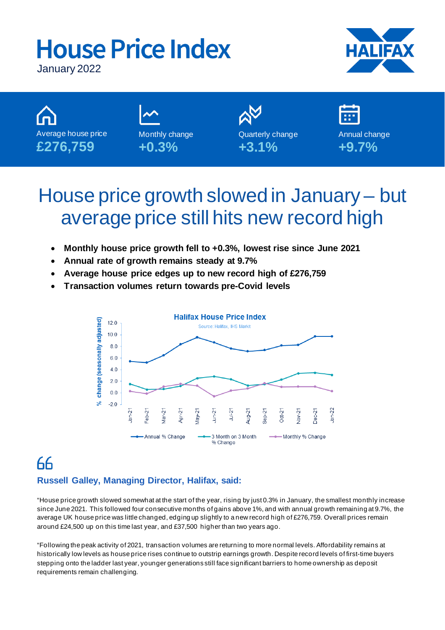# **House Price Index**



January 2022



## House price growth slowed in January – but average price still hits new record high

- **Monthly house price growth fell to +0.3%, lowest rise since June 2021**
- **Annual rate of growth remains steady at 9.7%**
- **Average house price edges up to new record high of £276,759**
- **Transaction volumes return towards pre-Covid levels**



## 66 **Russell Galley, Managing Director, Halifax, said:**

"House price growth slowed somewhat at the start of the year, rising by just 0.3% in January, the smallest monthly increase since June 2021. This followed four consecutive months of gains above 1%, and with annual growth remaining at 9.7%, the average UK house price was little changed, edging up slightly to a new record high of £276,759. Overall prices remain around £24,500 up on this time last year, and £37,500 higher than two years ago.

"Following the peak activity of 2021, transaction volumes are returning to more normal levels. Affordability remains at historically low levels as house price rises continue to outstrip earnings growth. Despite record levels of first-time buyers stepping onto the ladder last year, younger generations still face significant barriers to home ownership as deposit requirements remain challenging.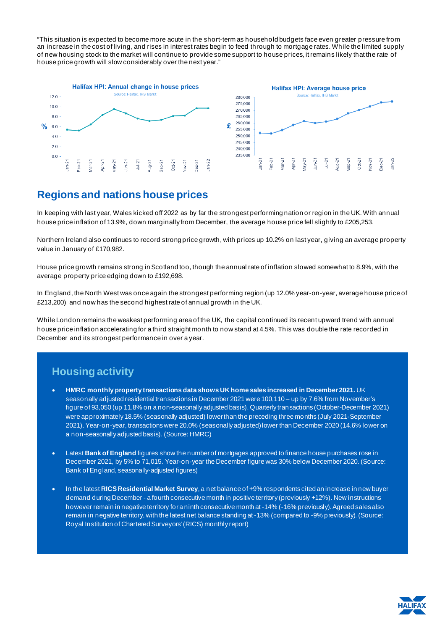"This situation is expected to become more acute in the short-term as household budgets face even greater pressure from an increase in the cost of living, and rises in interest rates begin to feed through to mortgage rates. While the limited supply of new housing stock to the market will continue to provide some support to house prices, it remains likely that the rate of house price growth will slow considerably over the next year."





## **Regions and nations house prices**

In keeping with last year, Wales kicked off 2022 as by far the strongest performing nation or region in the UK. With annual house price inflation of 13.9%, down marginally from December, the average house price fell slightly to £205,253.

Northern Ireland also continues to record strong price growth, with prices up 10.2% on last year, giving an average property value in January of £170,982.

House price growth remains strong in Scotland too, though the annual rate of inflation slowed somewhat to 8.9%, with the average property price edging down to £192,698.

In England, the North West was once again the strongest performing region (up 12.0% year-on-year, average house price of £213,200) and now has the second highest rate of annual growth in the UK.

While London remains the weakest performing area of the UK, the capital continued its recent upward trend with annual house price inflation accelerating for a third straight month to now stand at 4.5%. This was double the rate recorded in December and its strongest performance in over a year.

## **Housing activity**

- **HMRC monthly property transactions data shows UK home sales increased in December 2021.** UK seasonally adjusted residential transactions in December 2021 were 100,110 – up by 7.6% from November's figure of 93,050 (up 11.8% on a non-seasonally adjusted basis). Quarterly transactions (October-December 2021) were approximately 18.5% (seasonally adjusted) lower than the preceding three months (July 2021-September 2021). Year-on-year, transactions were 20.0% (seasonally adjusted)lower than December 2020 (14.6% lower on a non-seasonally adjusted basis). (Source: HMRC)
- Latest **Bank of England** figures show the number of mortgages approved to finance house purchases rose in December 2021, by 5% to 71,015. Year-on-year the December figure was 30% below December 2020. (Source: Bank of England, seasonally-adjusted figures)
- In the latest **RICS Residential Market Survey**, a net balance of +9% respondents cited an increase in new buyer demand during December - a fourth consecutive month in positive territory (previously +12%). New instructions however remain in negative territory for a ninth consecutive month at -14% (-16% previously). Agreed sales also remain in negative territory, with the latest net balance standing at -13% (compared to -9% previously). (Source: Royal Institution of Chartered Surveyors' (RICS) monthly report)

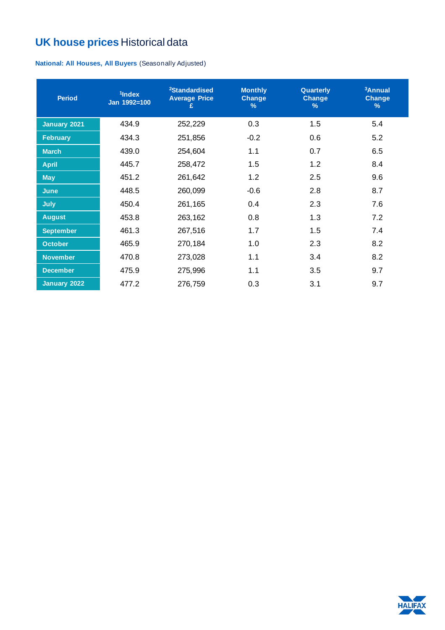## **UK house prices** Historical data

**National: All Houses, All Buyers** (Seasonally Adjusted)

| <b>Period</b>    | <sup>1</sup> Index<br>Jan 1992=100 | <sup>2</sup> Standardised<br><b>Average Price</b><br>£ | <b>Monthly</b><br>Change<br>$\frac{9}{6}$ | Quarterly<br><b>Change</b><br>$\%$ | <sup>3</sup> Annual<br>Change<br>$\frac{9}{6}$ |
|------------------|------------------------------------|--------------------------------------------------------|-------------------------------------------|------------------------------------|------------------------------------------------|
| January 2021     | 434.9                              | 252,229                                                | 0.3                                       | 1.5                                | 5.4                                            |
| <b>February</b>  | 434.3                              | 251,856                                                | $-0.2$                                    | 0.6                                | 5.2                                            |
| <b>March</b>     | 439.0                              | 254,604                                                | 1.1                                       | 0.7                                | 6.5                                            |
| <b>April</b>     | 445.7                              | 258,472                                                | 1.5                                       | 1.2                                | 8.4                                            |
| <b>May</b>       | 451.2                              | 261,642                                                | 1.2                                       | 2.5                                | 9.6                                            |
| <b>June</b>      | 448.5                              | 260,099                                                | $-0.6$                                    | 2.8                                | 8.7                                            |
| <b>July</b>      | 450.4                              | 261,165                                                | 0.4                                       | 2.3                                | 7.6                                            |
| <b>August</b>    | 453.8                              | 263,162                                                | 0.8                                       | 1.3                                | 7.2                                            |
| <b>September</b> | 461.3                              | 267,516                                                | 1.7                                       | 1.5                                | 7.4                                            |
| <b>October</b>   | 465.9                              | 270,184                                                | 1.0                                       | 2.3                                | 8.2                                            |
| <b>November</b>  | 470.8                              | 273,028                                                | 1.1                                       | 3.4                                | 8.2                                            |
| <b>December</b>  | 475.9                              | 275,996                                                | 1.1                                       | 3.5                                | 9.7                                            |
| January 2022     | 477.2                              | 276,759                                                | 0.3                                       | 3.1                                | 9.7                                            |